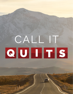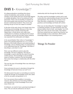## **DAY 1-** *Knowledge??*

At college graduations something that always catches my attention, and curiosity, are those members of the facility that have earned high degrees in multiple disciplines. One of my professors had 5 doctorates. That's a lot of schooling. It reminds me that some people enjoy learning so much they can become "professional students". They never stop learning, but go on from one subject to another.

In the time of the early church, the Greeks had a love of learning and knowledge. Because of this, they developed various schools of learning with Hippocrates, a Greek doctor who made many contributions to medicine, founding the first school of medicine, and was the first place where medicine was separated from philosophy and religion.

In his second Epistle, Peter refers to "knowledge" 5 times in his opening statements (vv 2, 3, 5, 6 & 8). Because of the Greek influence and understanding of knowledge, and our thinking today, it is important for us to understand what the "knowledge" that Peter is describing is, and what it is not?

Peter uses two different words to describe knowledge. The first is epignōsis. This type of knowledge is used to describe the state of knowing another person. This knowledge is not just being aware of another's existence, but the knowledge that comes from being in a relationship with the other person.

This was the type of knowledge Peter was referring to when he said;

Grace and peace be yours in abundance through the knowledge of God and of Jesus our Lord" (v 2)

His divine power has given us everything we need for a godly life through our knowledge of him who called us by his own glory and goodness. (v 3)

For if you possess these qualities in increasing measure, they will keep you from being ineffective and unproductive in your knowledge of our Lord Jesus Christ. (v 8)

As believers, we need to have a growing knowledge of Jesus. This can only be achieved as we stay in

relationship with him through the Holy Spirit.

The other word for knowledge is gnōsis and is used to describe the understanding one gets from learning and experience. You can see this in verses 5-6 as Peter describes a progression of one growing in goodness and knowledge and finally self-control.

Peter was not describing this "knowledge" in regards to obtaining salvation. As James declared "Even the demons believe that (in God)—and shudder." (Ja 2:19). Sadly, this is the case for many today. They believe that Jesus existed and was a great moral teacher, but their knowledge of Jesus ends there. We'll explore knowledge deeper in our remaining lessons.

### Things To Ponder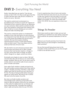### **DAY 2-** *Everything You Need*

Earlier I described how we need to "Cast all your anxiety on him" (2 Pe 5:7). Most would agree that this is easier said than done. We all have a tendency to hold on to worry. But why?

The need to control one's environment is a foundational part of what we would call "original sin". That desire to be in control so that we can determine our own outcomes. Adam and Eve wanted to be like God. They wanted to control their lives without God. We can hold on to worry thinking we can control things and make everything right.

This want to control also points to a fundamental problem of trust. We may hold on to worry because we simply don't trust God. We may not trust that God can or will resolve the problem the way we want it resolved. We may find ourselves thinking, subconsciously of course, "If only God would do what we think is best". That's how Adam and Eve acted out their lack of trust in God.

We also hold on to worry because we know what must be done and choose not to. Why? Usually because what must be done requires a change on our part, and we don't like to change, we prefer others' change for us. Again, control over others.

Eventually worry begins to wear us down. We hold onto the false idea, the lie that we can control things, people, situations. But we can't. So we worry more as anxiety starts to set and the walls of worry seem to press in harder and harder.

Once again God's solution is simple yet hard to do. We must humble ourselves before God. Peter told his readers, "Humble yourselves, therefore, under God's mighty hand, that he may lift you up in due time" (2 Pe 5:6). The idea of being humble before God goes against our sinful nature. We want to be in control. We want to be the master of our life.

But when we finally humble ourselves and acknowledge God's authority we find relief. God wants to take the burdens of life off of our shoulders so that under his mighty hand we can find joy and peace. King David said, "He guides the humble in what is right and teaches them his way." (Ps 25:9).

If you're experiencing a time of worry and anxiety, know that God loves and cares for you. He wants you to take your anxiety to him and trade it for joy and peace as he lifts you up. Know that "the Lord takes delight in his people; he crowns the humble with victory" (Ps 149:4). You can experience victory over worry.

#### Things To Ponder

What steps would you take to make sure you had everything you needed if you were taking a long trip? What would be the spiritual implications of this for life?

What are your favorite promises from God in the Bible? How do you find strength in remembering God's promises?

Do you find yourself being drawn back to the corruption of this world? How can you find strength in God to not fall back into sin?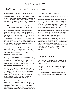## **DAY 3-** *Essential Christian Values*

Although the exact list can vary, health professionals tell us that in order to be healthy we need to eat a well balanced variety of foods from the various food groups. The idea is that each food group helps provide various nutrients our body needs, but that no one group has everything. Therefore, as we eat a balanced diet we'll get the nutrients we need to be healthy.

#### **(FYI, there have been some great studies done on the health benefits of dark chocolate)**

In his letter, Peter has just talked about believers growing in grace and peace in God, participating in the divine nature through Jesus. But to this point, it has only been "theoretical" in discussion. Peter now turns his attention to the practicality of how one can actively live one's life so they will not be ineffective and unproductive in your knowledge (epignōsis) of our Lord Jesus Christ (2 Pe 1:8). Peter then goes on to list a progression of virtues or qualities. Please take a moment to read 2 Peter 1:5-8.

 Peter begins with a clarification statement "for this very reason" (v 5) which forces the reader to look back at what was just discussed. Because of the new birth and the promises associated with it, Christians participate in the divine nature.

But this new birth does not rule human activity but shows the need to be growing in our relationship with God and Jesus as Peter tells the believers to "make every effort to add to your faith" (v 5). The Christian life is not to be sedentary or stagnant, but alive and flourishing, always building, always growing.

A quick glance at Peter's list of virtues (vv 5-7) is similar to Paul's list of the Fruit of the Spirit (Gal 5:22- 23). Both list goodness, self-control and love, while the remaining items all share similar themes. And while they are not the requirement for salvation, these attributes should be found in every believer's life as evidence of their salvation in Jesus.

Let's look at the virtues that believers should be adding to their faith: goodness, knowledge (gnōsis), self-control, perseverance, godliness, mutual affection, love (vv 5-7). We'll not go into each, but rather will talk about some general principles. First, and maybe most important, the list should NOT be interpreted as

a progression from one to the next. This interpretation can result in a mindset that one can never move on to the next, until one masters the first.

Second, all the qualities listed should be evident in the believers life, although their degrees of maturity may vary. Maybe you are doing good on goodness, but you see areas where self-control may be lacking. Or maybe mutual affection for other believers is good, but you need to work on loving your enemy.

Third, the attributes are to be possessed in "increasing measure" (v 8). The Holy Spirit is never done shaping us into the image of Jesus on this side of eternity. Last, know that possessing these qualities in increasing measure will "keep you from being ineffective and unproductive in your knowledge (epignōsis) of the Lord Jesus Christ" (v 8). Let me close with this thought. Although we tend to think of the great commission (Mt 28:19-20) first, in the early church the goal of every believer was simply to know (epignōsis) and become like Jesus (2 Pe 3:18, Eph 1:17, Phil 3:10, 1 Cor 2:2). Everything else was secondary.

#### Things To Ponder

How would you compare the Fruit of the Spirit (Ga 5:22-23) with Peter's list (2 Pe 1:5-7)? Similarities and differences.

How does thinking about the qualities Peter lists as not being progressive help you in your spiritual growth?

How can understanding that a believer's first goal is to be like Jesus help you grow? What can it free you from?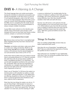### **DAY 4-** *A Warning & A Change*

The Greek language does not contain punctuation, leaving the translators to determine punctuation and placing of paragraphs. In the NIV verses 3-9 and 10- 11 are separate paragraphs, while in the NET verses 3-11 are one large paragraph. Most times this is not a cause for concern when interpreting a passage from the Bible, but it is something that the reader should know and understand. Thus my recommendation to always compare multiple translations.

A great Bible study method is to first identify some specific types of keywords in the passage. In this example we'll focus on how Peter uses words to either contrast, compare, or summarize his thoughts.

#### **(I've highlighted them in bold)**

**But** whoever does not have them is nearsighted **and**  blind, forgetting that they have been cleansed from their past sins.

**Therefore**, my brothers and sisters, make every effort to confirm your calling and election. **For if** you do these things**, you will** never stumble, and **you will**  receive a rich welcome into the eternal kingdom of our Lord and Savior Jesus Christ. (2 Pe 1:9-11)

Earlier Peter listed qualities that every believer should have in increasing measure (vv 5-7). Now he contrasts this with those who do not have these qualities as being "nearsighted and blind" (v 9). Interesting - can you be both nearsighted and blind at the same time? No, not literally. Peter uses the two hyperboles in combination as a metaphor depicting the fact that they have lost sight of the most important reality: God's forgiveness of their sin.

Peter's use of "therefore" (v 10) forces the reader to a decision point or self evaluation to confirm, or make sure of their "calling and election" (v 10). While there are differing viewpoints on the use of "election" here, there is universal agreement that all believers have been called by God to repentance.

Peter then lists two things his readers can rely on "if you do these things", referring back to verses 5-7. First you will never stumble (v 10), or as the NET lists "stumble into sin". Some have argued that "the loss of salvation" is in view here, but the meaning of "suffer

a reverse or misfortune" for stumble better fits the context. If a believer is adding to their faith: goodness, knowledge, self-control, perseverance, godliness, mutual affection, love, then they should not easily stumble in their faith and walk with Jesus.

Second, "you will receive a rich welcome into the eternal kingdom of our Lord and Savior Jesus Christ" v 11). When believers pass from this life to eternity Jesus is waiting to welcome them into God's eternal kingdom. Christians long to hear the words from Jesus, "Well done, good and faithful servant!" (Mt 25:21, 23).

#### Things To Ponder

How can reading multiple Bible versions help you better understand God's word?

How does the use of hyperboles "nearsighted and blind" help you understand the importance of having the qualities he lists in verses 5-7?

How easily have you "stumbled" in your relationship with Jesus? How can having the qualities Peter lists in verses 5-7 help you not to?